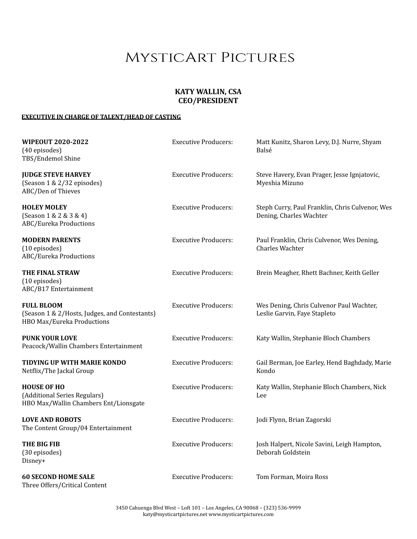# **KATY WALLIN, CSA CEO/PRESIDENT**

### **EXECUTIVE IN CHARGE OF TALENT/HEAD OF CASTING**

| <b>WIPEOUT 2020-2022</b><br>(40 episodes)<br>TBS/Endemol Shine                                   | <b>Executive Producers:</b> | Matt Kunitz, Sharon Levy, D.J. Nurre, Shyam<br>Balsé                       |
|--------------------------------------------------------------------------------------------------|-----------------------------|----------------------------------------------------------------------------|
| <b>JUDGE STEVE HARVEY</b><br>(Season 1 & 2/32 episodes)<br>ABC/Den of Thieves                    | <b>Executive Producers:</b> | Steve Havery, Evan Prager, Jesse Ignjatovic,<br>Myeshia Mizuno             |
| <b>HOLEY MOLEY</b><br>(Season 1 & 2 & 3 & 4)<br>ABC/Eureka Productions                           | <b>Executive Producers:</b> | Steph Curry, Paul Franklin, Chris Culvenor, Wes<br>Dening, Charles Wachter |
| <b>MODERN PARENTS</b><br>(10 episodes)<br>ABC/Eureka Productions                                 | <b>Executive Producers:</b> | Paul Franklin, Chris Culvenor, Wes Dening,<br><b>Charles Wachter</b>       |
| THE FINAL STRAW<br>(10 episodes)<br>ABC/B17 Entertainment                                        | <b>Executive Producers:</b> | Brein Meagher, Rhett Bachner, Keith Geller                                 |
| <b>FULL BLOOM</b><br>(Season 1 & 2/Hosts, Judges, and Contestants)<br>HBO Max/Eureka Productions | <b>Executive Producers:</b> | Wes Dening, Chris Culvenor Paul Wachter,<br>Leslie Garvin, Faye Stapleto   |
| <b>PUNK YOUR LOVE</b><br>Peacock/Wallin Chambers Entertainment                                   | <b>Executive Producers:</b> | Katy Wallin, Stephanie Bloch Chambers                                      |
| <b>TIDYING UP WITH MARIE KONDO</b><br>Netflix/The Jackal Group                                   | <b>Executive Producers:</b> | Gail Berman, Joe Earley, Hend Baghdady, Marie<br>Kondo                     |
| <b>HOUSE OF HO</b><br>(Additional Series Regulars)<br>HBO Max/Wallin Chambers Ent/Lionsgate      | <b>Executive Producers:</b> | Katy Wallin, Stephanie Bloch Chambers, Nick<br>Lee                         |
| <b>LOVE AND ROBOTS</b><br>The Content Group/04 Entertainment                                     | <b>Executive Producers:</b> | Jodi Flynn, Brian Zagorski                                                 |
| THE BIG FIB<br>(30 episodes)<br>Disney+                                                          | <b>Executive Producers:</b> | Josh Halpert, Nicole Savini, Leigh Hampton,<br>Deborah Goldstein           |
| <b>60 SECOND HOME SALE</b><br>Three Offers/Critical Content                                      | <b>Executive Producers:</b> | Tom Forman, Moira Ross                                                     |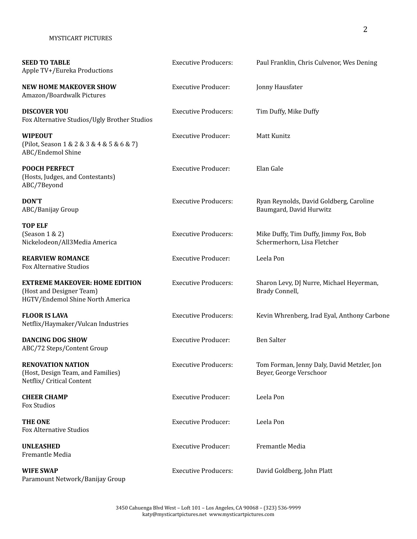| <b>SEED TO TABLE</b><br>Apple TV+/Eureka Productions                                                  | <b>Executive Producers:</b> | Paul Franklin, Chris Culvenor, Wes Dening                             |
|-------------------------------------------------------------------------------------------------------|-----------------------------|-----------------------------------------------------------------------|
| <b>NEW HOME MAKEOVER SHOW</b><br>Amazon/Boardwalk Pictures                                            | <b>Executive Producer:</b>  | Jonny Hausfater                                                       |
| <b>DISCOVER YOU</b><br>Fox Alternative Studios/Ugly Brother Studios                                   | <b>Executive Producers:</b> | Tim Duffy, Mike Duffy                                                 |
| <b>WIPEOUT</b><br>(Pilot, Season 1 & 2 & 3 & 4 & 5 & 6 & 7)<br>ABC/Endemol Shine                      | <b>Executive Producer:</b>  | Matt Kunitz                                                           |
| <b>POOCH PERFECT</b><br>(Hosts, Judges, and Contestants)<br>ABC/7Beyond                               | <b>Executive Producer:</b>  | Elan Gale                                                             |
| DON'T<br>ABC/Banijay Group                                                                            | <b>Executive Producers:</b> | Ryan Reynolds, David Goldberg, Caroline<br>Baumgard, David Hurwitz    |
| <b>TOP ELF</b><br>(Season 1 & 2)<br>Nickelodeon/All3Media America                                     | <b>Executive Producers:</b> | Mike Duffy, Tim Duffy, Jimmy Fox, Bob<br>Schermerhorn, Lisa Fletcher  |
| <b>REARVIEW ROMANCE</b><br><b>Fox Alternative Studios</b>                                             | <b>Executive Producer:</b>  | Leela Pon                                                             |
| <b>EXTREME MAKEOVER: HOME EDITION</b><br>(Host and Designer Team)<br>HGTV/Endemol Shine North America | <b>Executive Producers:</b> | Sharon Levy, DJ Nurre, Michael Heyerman,<br>Brady Connell,            |
| <b>FLOOR IS LAVA</b><br>Netflix/Haymaker/Vulcan Industries                                            | <b>Executive Producers:</b> | Kevin Whrenberg, Irad Eyal, Anthony Carbone                           |
| <b>DANCING DOG SHOW</b><br>ABC/72 Steps/Content Group                                                 | <b>Executive Producer:</b>  | <b>Ben Salter</b>                                                     |
| <b>RENOVATION NATION</b><br>(Host, Design Team, and Families)<br>Netflix/ Critical Content            | <b>Executive Producers:</b> | Tom Forman, Jenny Daly, David Metzler, Jon<br>Beyer, George Verschoor |
| <b>CHEER CHAMP</b><br>Fox Studios                                                                     | <b>Executive Producer:</b>  | Leela Pon                                                             |
| <b>THE ONE</b><br><b>Fox Alternative Studios</b>                                                      | <b>Executive Producer:</b>  | Leela Pon                                                             |
| <b>UNLEASHED</b><br>Fremantle Media                                                                   | <b>Executive Producer:</b>  | Fremantle Media                                                       |
| <b>WIFE SWAP</b><br>Paramount Network/Banijay Group                                                   | <b>Executive Producers:</b> | David Goldberg, John Platt                                            |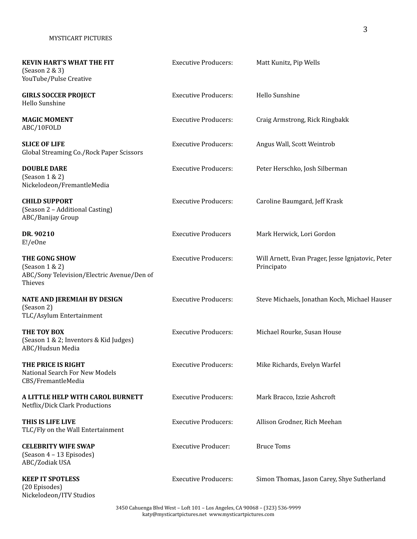Nickelodeon/ITV Studios

| <b>KEVIN HART'S WHAT THE FIT</b><br>(Season 2 & 3)<br>YouTube/Pulse Creative                 | <b>Executive Producers:</b> | Matt Kunitz, Pip Wells                                          |
|----------------------------------------------------------------------------------------------|-----------------------------|-----------------------------------------------------------------|
| <b>GIRLS SOCCER PROJECT</b><br>Hello Sunshine                                                | <b>Executive Producers:</b> | Hello Sunshine                                                  |
| <b>MAGIC MOMENT</b><br>ABC/10FOLD                                                            | <b>Executive Producers:</b> | Craig Armstrong, Rick Ringbakk                                  |
| <b>SLICE OF LIFE</b><br>Global Streaming Co./Rock Paper Scissors                             | <b>Executive Producers:</b> | Angus Wall, Scott Weintrob                                      |
| <b>DOUBLE DARE</b><br>(Season 1 & 2)<br>Nickelodeon/FremantleMedia                           | <b>Executive Producers:</b> | Peter Herschko, Josh Silberman                                  |
| <b>CHILD SUPPORT</b><br>(Season 2 - Additional Casting)<br>ABC/Banijay Group                 | <b>Executive Producers:</b> | Caroline Baumgard, Jeff Krask                                   |
| DR. 90210<br>E!/eOne                                                                         | <b>Executive Producers</b>  | Mark Herwick, Lori Gordon                                       |
| THE GONG SHOW<br>(Season $1 \& 2$ )<br>ABC/Sony Television/Electric Avenue/Den of<br>Thieves | <b>Executive Producers:</b> | Will Arnett, Evan Prager, Jesse Ignjatovic, Peter<br>Principato |
| NATE AND JEREMIAH BY DESIGN<br>(Season 2)<br>TLC/Asylum Entertainment                        | <b>Executive Producers:</b> | Steve Michaels, Jonathan Koch, Michael Hauser                   |
| THE TOY BOX<br>(Season 1 & 2; Inventors & Kid Judges)<br>ABC/Hudsun Media                    | <b>Executive Producers:</b> | Michael Rourke, Susan House                                     |
| THE PRICE IS RIGHT<br><b>National Search For New Models</b><br>CBS/FremantleMedia            | <b>Executive Producers:</b> | Mike Richards, Evelyn Warfel                                    |
| A LITTLE HELP WITH CAROL BURNETT<br>Netflix/Dick Clark Productions                           | <b>Executive Producers:</b> | Mark Bracco, Izzie Ashcroft                                     |
| THIS IS LIFE LIVE<br>TLC/Fly on the Wall Entertainment                                       | <b>Executive Producers:</b> | Allison Grodner, Rich Meehan                                    |
| <b>CELEBRITY WIFE SWAP</b><br>(Season 4 - 13 Episodes)<br>ABC/Zodiak USA                     | <b>Executive Producer:</b>  | <b>Bruce Toms</b>                                               |
| <b>KEEP IT SPOTLESS</b><br>(20 Episodes)                                                     | <b>Executive Producers:</b> | Simon Thomas, Jason Carey, Shye Sutherland                      |

3450 Cahuenga Blvd West – Loft 101 – Los Angeles, CA 90068 – (323) 536-9999 katy@mysticartpictures.net www.mysticartpictures.com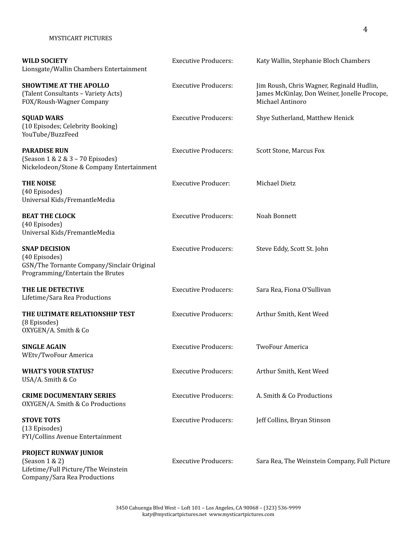| <b>WILD SOCIETY</b><br>Lionsgate/Wallin Chambers Entertainment                                                          | <b>Executive Producers:</b> | Katy Wallin, Stephanie Bloch Chambers                                                                         |
|-------------------------------------------------------------------------------------------------------------------------|-----------------------------|---------------------------------------------------------------------------------------------------------------|
| <b>SHOWTIME AT THE APOLLO</b><br>(Talent Consultants - Variety Acts)<br>FOX/Roush-Wagner Company                        | <b>Executive Producers:</b> | Jim Roush, Chris Wagner, Reginald Hudlin,<br>James McKinlay, Don Weiner, Jonelle Procope,<br>Michael Antinoro |
| <b>SQUAD WARS</b><br>(10 Episodes; Celebrity Booking)<br>YouTube/BuzzFeed                                               | <b>Executive Producers:</b> | Shye Sutherland, Matthew Henick                                                                               |
| <b>PARADISE RUN</b><br>(Season 1 & 2 & 3 - 70 Episodes)<br>Nickelodeon/Stone & Company Entertainment                    | <b>Executive Producers:</b> | Scott Stone, Marcus Fox                                                                                       |
| <b>THE NOISE</b><br>(40 Episodes)<br>Universal Kids/FremantleMedia                                                      | <b>Executive Producer:</b>  | Michael Dietz                                                                                                 |
| <b>BEAT THE CLOCK</b><br>(40 Episodes)<br>Universal Kids/FremantleMedia                                                 | <b>Executive Producers:</b> | Noah Bonnett                                                                                                  |
| <b>SNAP DECISION</b><br>(40 Episodes)<br>GSN/The Tornante Company/Sinclair Original<br>Programming/Entertain the Brutes | <b>Executive Producers:</b> | Steve Eddy, Scott St. John                                                                                    |
| THE LIE DETECTIVE<br>Lifetime/Sara Rea Productions                                                                      | <b>Executive Producers:</b> | Sara Rea, Fiona O'Sullivan                                                                                    |
| THE ULTIMATE RELATIONSHIP TEST<br>(8 Episodes)<br>OXYGEN/A. Smith & Co                                                  | <b>Executive Producers:</b> | Arthur Smith, Kent Weed                                                                                       |
| <b>SINGLE AGAIN</b><br>WEtv/TwoFour America                                                                             | <b>Executive Producers:</b> | <b>TwoFour America</b>                                                                                        |
| <b>WHAT'S YOUR STATUS?</b><br>USA/A. Smith & Co                                                                         | <b>Executive Producers:</b> | Arthur Smith, Kent Weed                                                                                       |
| <b>CRIME DOCUMENTARY SERIES</b><br>OXYGEN/A. Smith & Co Productions                                                     | <b>Executive Producers:</b> | A. Smith & Co Productions                                                                                     |
| <b>STOVE TOTS</b><br>(13 Episodes)<br>FYI/Collins Avenue Entertainment                                                  | <b>Executive Producers:</b> | Jeff Collins, Bryan Stinson                                                                                   |
| PROJECT RUNWAY JUNIOR<br>(Season 1 & 2)<br>Lifetime/Full Picture/The Weinstein<br>Company/Sara Rea Productions          | <b>Executive Producers:</b> | Sara Rea, The Weinstein Company, Full Picture                                                                 |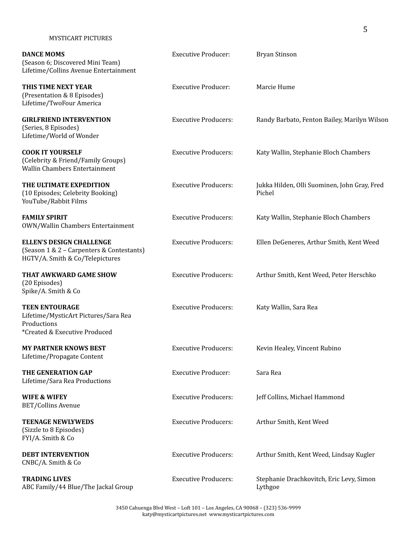| <b>DANCE MOMS</b><br>(Season 6; Discovered Mini Team)<br>Lifetime/Collins Avenue Entertainment                  | <b>Executive Producer:</b>  | Bryan Stinson                                          |
|-----------------------------------------------------------------------------------------------------------------|-----------------------------|--------------------------------------------------------|
| THIS TIME NEXT YEAR<br>(Presentation & 8 Episodes)<br>Lifetime/TwoFour America                                  | <b>Executive Producer:</b>  | Marcie Hume                                            |
| <b>GIRLFRIEND INTERVENTION</b><br>(Series, 8 Episodes)<br>Lifetime/World of Wonder                              | <b>Executive Producers:</b> | Randy Barbato, Fenton Bailey, Marilyn Wilson           |
| <b>COOK IT YOURSELF</b><br>(Celebrity & Friend/Family Groups)<br>Wallin Chambers Entertainment                  | <b>Executive Producers:</b> | Katy Wallin, Stephanie Bloch Chambers                  |
| THE ULTIMATE EXPEDITION<br>(10 Episodes; Celebrity Booking)<br>YouTube/Rabbit Films                             | <b>Executive Producers:</b> | Jukka Hilden, Olli Suominen, John Gray, Fred<br>Pichel |
| <b>FAMILY SPIRIT</b><br>OWN/Wallin Chambers Entertainment                                                       | <b>Executive Producers:</b> | Katy Wallin, Stephanie Bloch Chambers                  |
| <b>ELLEN'S DESIGN CHALLENGE</b><br>(Season 1 & 2 - Carpenters & Contestants)<br>HGTV/A. Smith & Co/Telepictures | <b>Executive Producers:</b> | Ellen DeGeneres, Arthur Smith, Kent Weed               |
| THAT AWKWARD GAME SHOW<br>(20 Episodes)<br>Spike/A. Smith & Co                                                  | <b>Executive Producers:</b> | Arthur Smith, Kent Weed, Peter Herschko                |
| <b>TEEN ENTOURAGE</b><br>Lifetime/MysticArt Pictures/Sara Rea<br>Productions<br>*Created & Executive Produced   | <b>Executive Producers:</b> | Katy Wallin, Sara Rea                                  |
| <b>MY PARTNER KNOWS BEST</b><br>Lifetime/Propagate Content                                                      | <b>Executive Producers:</b> | Kevin Healey, Vincent Rubino                           |
| THE GENERATION GAP<br>Lifetime/Sara Rea Productions                                                             | <b>Executive Producer:</b>  | Sara Rea                                               |
| <b>WIFE &amp; WIFEY</b><br>BET/Collins Avenue                                                                   | <b>Executive Producers:</b> | Jeff Collins, Michael Hammond                          |
| <b>TEENAGE NEWLYWEDS</b><br>(Sizzle to 8 Episodes)<br>FYI/A. Smith & Co                                         | <b>Executive Producers:</b> | Arthur Smith, Kent Weed                                |
| <b>DEBT INTERVENTION</b><br>CNBC/A. Smith & Co                                                                  | <b>Executive Producers:</b> | Arthur Smith, Kent Weed, Lindsay Kugler                |
| <b>TRADING LIVES</b><br>ABC Family/44 Blue/The Jackal Group                                                     | <b>Executive Producers:</b> | Stephanie Drachkovitch, Eric Levy, Simon<br>Lythgoe    |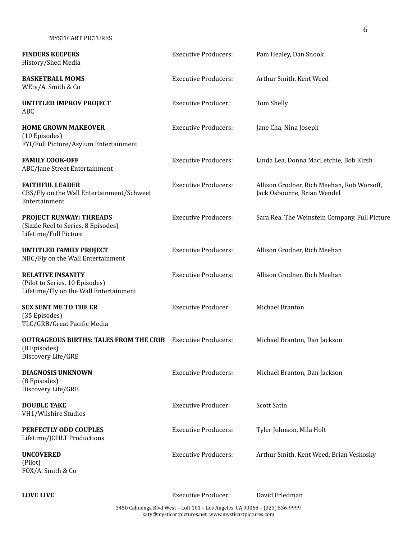| <b>FINDERS KEEPERS</b><br>History/Shed Media                                                         | <b>Executive Producers:</b> | Pam Healey, Dan Snook                                                     |
|------------------------------------------------------------------------------------------------------|-----------------------------|---------------------------------------------------------------------------|
| <b>BASKETBALL MOMS</b><br>WEtv/A. Smith & Co                                                         | <b>Executive Producers:</b> | Arthur Smith, Kent Weed                                                   |
| <b>UNTITLED IMPROV PROJECT</b><br>ABC                                                                | <b>Executive Producer:</b>  | Tom Shelly                                                                |
| <b>HOME GROWN MAKEOVER</b><br>(10 Episodes)<br>FYI/Full Picture/Asylum Entertainment                 | <b>Executive Producers:</b> | Jane Cha, Nina Joseph                                                     |
| <b>FAMILY COOK-OFF</b><br>ABC/Jane Street Entertainment                                              | <b>Executive Producers:</b> | Linda Lea, Donna MacLetchie, Bob Kirsh                                    |
| <b>FAITHFUL LEADER</b><br>CBS/Fly on the Wall Entertainment/Schweet<br>Entertainment                 | <b>Executive Producers:</b> | Allison Grodner, Rich Meehan, Rob Worsoff,<br>Jack Osbourne, Brian Wendel |
| <b>PROJECT RUNWAY: THREADS</b><br>(Sizzle Reel to Series, 8 Episodes)<br>Lifetime/Full Picture       | <b>Executive Producers:</b> | Sara Rea, The Weinstein Company, Full Picture                             |
| <b>UNTITLED FAMILY PROJECT</b><br>NBC/Fly on the Wall Entertainment                                  | <b>Executive Producers:</b> | Allison Grodner, Rich Meehan                                              |
| <b>RELATIVE INSANITY</b><br>(Pilot to Series, 10 Episodes)<br>Lifetime/Fly on the Wall Entertainment | <b>Executive Producers:</b> | Allison Grodner, Rich Meehan                                              |
| <b>SEX SENT ME TO THE ER</b><br>(35 Episodes)<br>TLC/GRB/Great Pacific Media                         | <b>Executive Producer:</b>  | Michael Branton                                                           |
| <b>OUTRAGEOUS BIRTHS: TALES FROM THE CRIB</b><br>(8 Episodes)<br>Discovery Life/GRB                  | <b>Executive Producers:</b> | Michael Branton, Dan Jackson                                              |
| <b>DIAGNOSIS UNKNOWN</b><br>(8 Episodes)<br>Discovery Life/GRB                                       | <b>Executive Producers:</b> | Michael Branton, Dan Jackson                                              |
| <b>DOUBLE TAKE</b><br>VH1/Wilshire Studios                                                           | <b>Executive Producer:</b>  | <b>Scott Satin</b>                                                        |
| PERFECTLY ODD COUPLES<br>Lifetime/JOHLT Productions                                                  | <b>Executive Producers:</b> | Tyler Johnson, Mila Holt                                                  |
| <b>UNCOVERED</b><br>(Pilot)<br>FOX/A. Smith & Co                                                     | <b>Executive Producers:</b> | Arthur Smith, Kent Weed, Brian Veskosky                                   |

**LOVE LIVE** Executive Producer: David Friedman

3450 Cahuenga Blvd West – Loft 101 – Los Angeles, CA 90068 – (323) 536-9999 katy@mysticartpictures.net www.mysticartpictures.com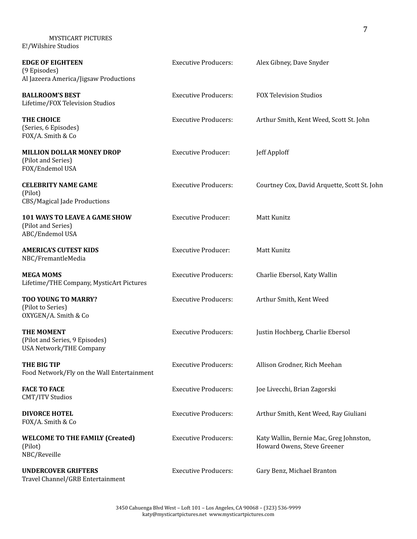MYSTICART PICTURES E!/Wilshire Studios

| <b>EDGE OF EIGHTEEN</b><br>(9 Episodes)<br>Al Jazeera America/Jigsaw Productions | <b>Executive Producers:</b> | Alex Gibney, Dave Snyder                                               |
|----------------------------------------------------------------------------------|-----------------------------|------------------------------------------------------------------------|
| <b>BALLROOM'S BEST</b><br>Lifetime/FOX Television Studios                        | <b>Executive Producers:</b> | <b>FOX Television Studios</b>                                          |
| THE CHOICE<br>(Series, 6 Episodes)<br>FOX/A. Smith & Co                          | <b>Executive Producers:</b> | Arthur Smith, Kent Weed, Scott St. John                                |
| <b>MILLION DOLLAR MONEY DROP</b><br>(Pilot and Series)<br>FOX/Endemol USA        | <b>Executive Producer:</b>  | Jeff Apploff                                                           |
| <b>CELEBRITY NAME GAME</b><br>(Pilot)<br>CBS/Magical Jade Productions            | <b>Executive Producers:</b> | Courtney Cox, David Arquette, Scott St. John                           |
| 101 WAYS TO LEAVE A GAME SHOW<br>(Pilot and Series)<br>ABC/Endemol USA           | <b>Executive Producer:</b>  | Matt Kunitz                                                            |
| <b>AMERICA'S CUTEST KIDS</b><br>NBC/FremantleMedia                               | <b>Executive Producer:</b>  | Matt Kunitz                                                            |
| <b>MEGA MOMS</b><br>Lifetime/THE Company, MysticArt Pictures                     | <b>Executive Producers:</b> | Charlie Ebersol, Katy Wallin                                           |
| TOO YOUNG TO MARRY?<br>(Pilot to Series)<br>OXYGEN/A. Smith & Co                 | <b>Executive Producers:</b> | Arthur Smith, Kent Weed                                                |
| THE MOMENT<br>(Pilot and Series, 9 Episodes)<br><b>USA Network/THE Company</b>   | <b>Executive Producers:</b> | Justin Hochberg, Charlie Ebersol                                       |
| THE BIG TIP<br>Food Network/Fly on the Wall Entertainment                        | <b>Executive Producers:</b> | Allison Grodner, Rich Meehan                                           |
| <b>FACE TO FACE</b><br>CMT/ITV Studios                                           | <b>Executive Producers:</b> | Joe Livecchi, Brian Zagorski                                           |
| <b>DIVORCE HOTEL</b><br>FOX/A. Smith & Co                                        | <b>Executive Producers:</b> | Arthur Smith, Kent Weed, Ray Giuliani                                  |
| <b>WELCOME TO THE FAMILY (Created)</b><br>(Pilot)<br>NBC/Reveille                | <b>Executive Producers:</b> | Katy Wallin, Bernie Mac, Greg Johnston,<br>Howard Owens, Steve Greener |
| <b>UNDERCOVER GRIFTERS</b><br>Travel Channel/GRB Entertainment                   | <b>Executive Producers:</b> | Gary Benz, Michael Branton                                             |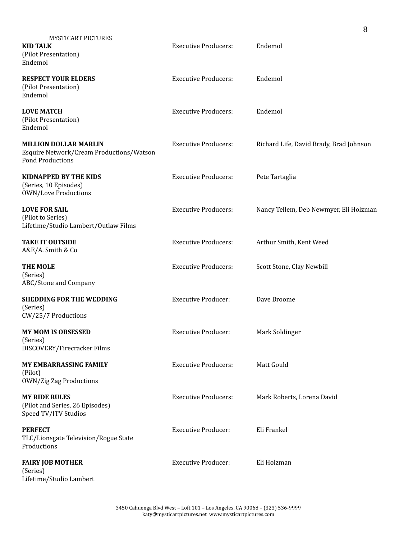| <b>MYSTICART PICTURES</b><br><b>KID TALK</b><br>(Pilot Presentation)<br>Endemol                     | <b>Executive Producers:</b> | Endemol                                 |
|-----------------------------------------------------------------------------------------------------|-----------------------------|-----------------------------------------|
| <b>RESPECT YOUR ELDERS</b><br>(Pilot Presentation)<br>Endemol                                       | <b>Executive Producers:</b> | Endemol                                 |
| <b>LOVE MATCH</b><br>(Pilot Presentation)<br>Endemol                                                | <b>Executive Producers:</b> | Endemol                                 |
| <b>MILLION DOLLAR MARLIN</b><br>Esquire Network/Cream Productions/Watson<br><b>Pond Productions</b> | <b>Executive Producers:</b> | Richard Life, David Brady, Brad Johnson |
| <b>KIDNAPPED BY THE KIDS</b><br>(Series, 10 Episodes)<br><b>OWN/Love Productions</b>                | <b>Executive Producers:</b> | Pete Tartaglia                          |
| <b>LOVE FOR SAIL</b><br>(Pilot to Series)<br>Lifetime/Studio Lambert/Outlaw Films                   | <b>Executive Producers:</b> | Nancy Tellem, Deb Newmyer, Eli Holzman  |
| <b>TAKE IT OUTSIDE</b><br>A&E/A. Smith & Co                                                         | <b>Executive Producers:</b> | Arthur Smith, Kent Weed                 |
| <b>THE MOLE</b><br>(Series)<br>ABC/Stone and Company                                                | <b>Executive Producers:</b> | Scott Stone, Clay Newbill               |
| <b>SHEDDING FOR THE WEDDING</b><br>(Series)<br>CW/25/7 Productions                                  | <b>Executive Producer:</b>  | Dave Broome                             |
| <b>MY MOM IS OBSESSED</b><br>(Series)<br>DISCOVERY/Firecracker Films                                | <b>Executive Producer:</b>  | Mark Soldinger                          |
| <b>MY EMBARRASSING FAMILY</b><br>(Pilot)<br><b>OWN/Zig Zag Productions</b>                          | <b>Executive Producers:</b> | Matt Gould                              |
| <b>MY RIDE RULES</b><br>(Pilot and Series, 26 Episodes)<br>Speed TV/ITV Studios                     | <b>Executive Producers:</b> | Mark Roberts, Lorena David              |
| <b>PERFECT</b><br>TLC/Lionsgate Television/Rogue State<br>Productions                               | <b>Executive Producer:</b>  | Eli Frankel                             |
| <b>FAIRY JOB MOTHER</b><br>(Series)<br>Lifetime/Studio Lambert                                      | <b>Executive Producer:</b>  | Eli Holzman                             |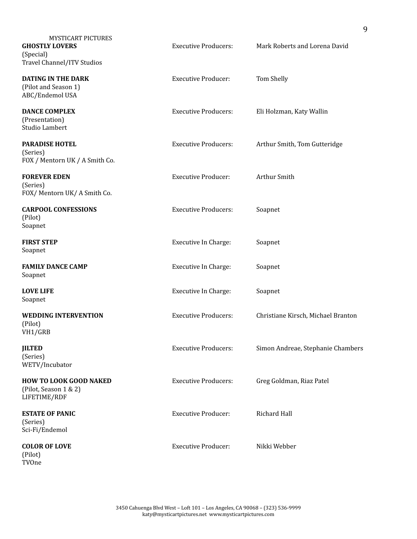| <b>MYSTICART PICTURES</b><br><b>GHOSTLY LOVERS</b><br>(Special)<br>Travel Channel/ITV Studios | <b>Executive Producers:</b> | Mark Roberts and Lorena David      |
|-----------------------------------------------------------------------------------------------|-----------------------------|------------------------------------|
| <b>DATING IN THE DARK</b><br>(Pilot and Season 1)<br>ABC/Endemol USA                          | <b>Executive Producer:</b>  | Tom Shelly                         |
| <b>DANCE COMPLEX</b><br>(Presentation)<br>Studio Lambert                                      | <b>Executive Producers:</b> | Eli Holzman, Katy Wallin           |
| <b>PARADISE HOTEL</b><br>(Series)<br>FOX / Mentorn UK / A Smith Co.                           | <b>Executive Producers:</b> | Arthur Smith, Tom Gutteridge       |
| <b>FOREVER EDEN</b><br>(Series)<br>FOX/ Mentorn UK/ A Smith Co.                               | <b>Executive Producer:</b>  | Arthur Smith                       |
| <b>CARPOOL CONFESSIONS</b><br>(Pilot)<br>Soapnet                                              | <b>Executive Producers:</b> | Soapnet                            |
| <b>FIRST STEP</b><br>Soapnet                                                                  | Executive In Charge:        | Soapnet                            |
| <b>FAMILY DANCE CAMP</b><br>Soapnet                                                           | <b>Executive In Charge:</b> | Soapnet                            |
| <b>LOVE LIFE</b><br>Soapnet                                                                   | <b>Executive In Charge:</b> | Soapnet                            |
| <b>WEDDING INTERVENTION</b><br>(Pilot)<br>VH1/GRB                                             | <b>Executive Producers:</b> | Christiane Kirsch, Michael Branton |
| <b>JILTED</b><br>(Series)<br>WETV/Incubator                                                   | <b>Executive Producers:</b> | Simon Andreae, Stephanie Chambers  |
| <b>HOW TO LOOK GOOD NAKED</b><br>(Pilot, Season 1 & 2)<br>LIFETIME/RDF                        | <b>Executive Producers:</b> | Greg Goldman, Riaz Patel           |
| <b>ESTATE OF PANIC</b><br>(Series)<br>Sci-Fi/Endemol                                          | <b>Executive Producer:</b>  | Richard Hall                       |
| <b>COLOR OF LOVE</b><br>(Pilot)<br>TVOne                                                      | <b>Executive Producer:</b>  | Nikki Webber                       |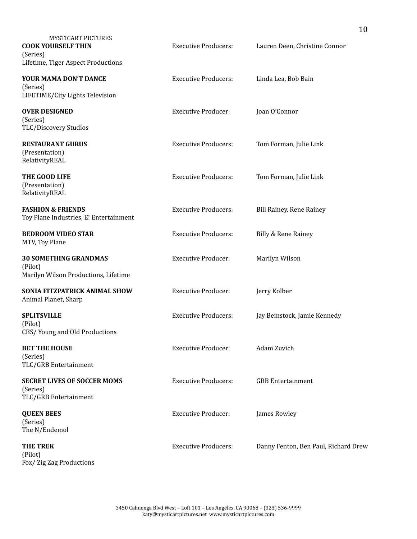| <b>MYSTICART PICTURES</b><br><b>COOK YOURSELF THIN</b><br>(Series)<br>Lifetime, Tiger Aspect Productions | <b>Executive Producers:</b> | Lauren Deen, Christine Connor        |
|----------------------------------------------------------------------------------------------------------|-----------------------------|--------------------------------------|
| YOUR MAMA DON'T DANCE<br>(Series)<br>LIFETIME/City Lights Television                                     | <b>Executive Producers:</b> | Linda Lea, Bob Bain                  |
| <b>OVER DESIGNED</b><br>(Series)<br>TLC/Discovery Studios                                                | <b>Executive Producer:</b>  | Joan O'Connor                        |
| <b>RESTAURANT GURUS</b><br>(Presentation)<br>RelativityREAL                                              | <b>Executive Producers:</b> | Tom Forman, Julie Link               |
| THE GOOD LIFE<br>(Presentation)<br>RelativityREAL                                                        | <b>Executive Producers:</b> | Tom Forman, Julie Link               |
| <b>FASHION &amp; FRIENDS</b><br>Toy Plane Industries, E! Entertainment                                   | <b>Executive Producers:</b> | Bill Rainey, Rene Rainey             |
| <b>BEDROOM VIDEO STAR</b><br>MTV, Toy Plane                                                              | <b>Executive Producers:</b> | Billy & Rene Rainey                  |
| <b>30 SOMETHING GRANDMAS</b><br>(Pilot)<br>Marilyn Wilson Productions, Lifetime                          | <b>Executive Producer:</b>  | Marilyn Wilson                       |
| SONIA FITZPATRICK ANIMAL SHOW<br>Animal Planet, Sharp                                                    | <b>Executive Producer:</b>  | Jerry Kolber                         |
| <b>SPLITSVILLE</b><br>(Pilot)<br>CBS/Young and Old Productions                                           | <b>Executive Producers:</b> | Jay Beinstock, Jamie Kennedy         |
| <b>BET THE HOUSE</b><br>(Series)<br>TLC/GRB Entertainment                                                | <b>Executive Producer:</b>  | Adam Zuvich                          |
| <b>SECRET LIVES OF SOCCER MOMS</b><br>(Series)<br>TLC/GRB Entertainment                                  | <b>Executive Producers:</b> | <b>GRB</b> Entertainment             |
| <b>QUEEN BEES</b><br>(Series)<br>The N/Endemol                                                           | <b>Executive Producer:</b>  | James Rowley                         |
| <b>THE TREK</b><br>(Pilot)<br>Fox/ Zig Zag Productions                                                   | <b>Executive Producers:</b> | Danny Fenton, Ben Paul, Richard Drew |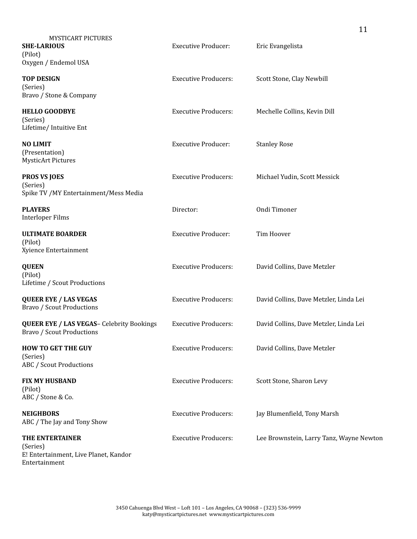| <b>MYSTICART PICTURES</b><br><b>SHE-LARIOUS</b><br>(Pilot)<br>Oxygen / Endemol USA    | <b>Executive Producer:</b>  | Eric Evangelista                         |
|---------------------------------------------------------------------------------------|-----------------------------|------------------------------------------|
| <b>TOP DESIGN</b><br>(Series)<br>Bravo / Stone & Company                              | <b>Executive Producers:</b> | Scott Stone, Clay Newbill                |
| <b>HELLO GOODBYE</b><br>(Series)<br>Lifetime/ Intuitive Ent                           | <b>Executive Producers:</b> | Mechelle Collins, Kevin Dill             |
| <b>NO LIMIT</b><br>(Presentation)<br><b>MysticArt Pictures</b>                        | <b>Executive Producer:</b>  | <b>Stanley Rose</b>                      |
| <b>PROS VS JOES</b><br>(Series)<br>Spike TV / MY Entertainment/Mess Media             | <b>Executive Producers:</b> | Michael Yudin, Scott Messick             |
| <b>PLAYERS</b><br><b>Interloper Films</b>                                             | Director:                   | Ondi Timoner                             |
| <b>ULTIMATE BOARDER</b><br>(Pilot)<br>Xyience Entertainment                           | <b>Executive Producer:</b>  | Tim Hoover                               |
| <b>QUEEN</b><br>(Pilot)<br>Lifetime / Scout Productions                               | <b>Executive Producers:</b> | David Collins, Dave Metzler              |
| <b>QUEER EYE / LAS VEGAS</b><br><b>Bravo / Scout Productions</b>                      | <b>Executive Producers:</b> | David Collins, Dave Metzler, Linda Lei   |
| <b>QUEER EYE / LAS VEGAS-</b> Celebrity Bookings<br><b>Bravo / Scout Productions</b>  | <b>Executive Producers:</b> | David Collins, Dave Metzler, Linda Lei   |
| <b>HOW TO GET THE GUY</b><br>(Series)<br><b>ABC</b> / Scout Productions               | <b>Executive Producers:</b> | David Collins, Dave Metzler              |
| <b>FIX MY HUSBAND</b><br>(Pilot)<br>ABC / Stone & Co.                                 | <b>Executive Producers:</b> | Scott Stone, Sharon Levy                 |
| <b>NEIGHBORS</b><br>ABC / The Jay and Tony Show                                       | <b>Executive Producers:</b> | Jay Blumenfield, Tony Marsh              |
| THE ENTERTAINER<br>(Series)<br>E! Entertainment, Live Planet, Kandor<br>Entertainment | <b>Executive Producers:</b> | Lee Brownstein, Larry Tanz, Wayne Newton |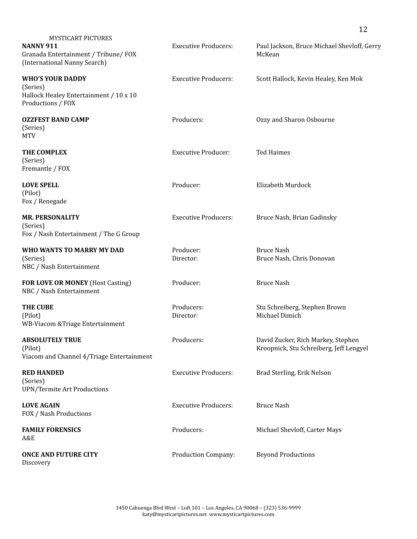| <b>MYSTICART PICTURES</b><br>NANNY 911<br>Granada Entertainment / Tribune/ FOX<br>(International Nanny Search) | <b>Executive Producers:</b> | Paul Jackson, Bruce Michael Shevloff, Gerry<br>McKean                         |
|----------------------------------------------------------------------------------------------------------------|-----------------------------|-------------------------------------------------------------------------------|
| <b>WHO'S YOUR DADDY</b><br>(Series)<br>Hallock Healey Entertainment / 10 x 10<br>Productions / FOX             | <b>Executive Producers:</b> | Scott Hallock, Kevin Healey, Ken Mok                                          |
| <b>OZZFEST BAND CAMP</b><br>(Series)<br><b>MTV</b>                                                             | Producers:                  | Ozzy and Sharon Osbourne                                                      |
| THE COMPLEX<br>(Series)<br>Fremantle / FOX                                                                     | <b>Executive Producer:</b>  | <b>Ted Haimes</b>                                                             |
| <b>LOVE SPELL</b><br>(Pilot)<br>Fox / Renegade                                                                 | Producer:                   | Elizabeth Murdock                                                             |
| <b>MR. PERSONALITY</b><br>(Series)<br>Fox / Nash Entertainment / The G Group                                   | <b>Executive Producers:</b> | Bruce Nash, Brian Gadinsky                                                    |
| WHO WANTS TO MARRY MY DAD<br>(Series)<br>NBC / Nash Entertainment                                              | Producer:<br>Director:      | <b>Bruce Nash</b><br>Bruce Nash, Chris Donovan                                |
| FOR LOVE OR MONEY (Host Casting)<br>NBC / Nash Entertainment                                                   | Producer:                   | <b>Bruce Nash</b>                                                             |
| <b>THE CUBE</b><br>(Pilot)<br>WB-Viacom & Triage Entertainment                                                 | Producers:<br>Director:     | Stu Schreiberg, Stephen Brown<br>Michael Dimich                               |
| <b>ABSOLUTELY TRUE</b><br>(Pilot)<br>Viacom and Channel 4/Triage Entertainment                                 | Producers:                  | David Zucker, Rich Markey, Stephen<br>Kroopnick, Stu Schreiberg, Jeff Lengyel |
| <b>RED HANDED</b><br>(Series)<br><b>UPN/Termite Art Productions</b>                                            | <b>Executive Producers:</b> | Brad Sterling, Erik Nelson                                                    |
| <b>LOVE AGAIN</b><br>FOX / Nash Productions                                                                    | <b>Executive Producers:</b> | <b>Bruce Nash</b>                                                             |
| <b>FAMILY FORENSICS</b><br>A&E                                                                                 | Producers:                  | Michael Shevloff, Carter Mays                                                 |
| <b>ONCE AND FUTURE CITY</b><br>Discovery                                                                       | Production Company:         | <b>Beyond Productions</b>                                                     |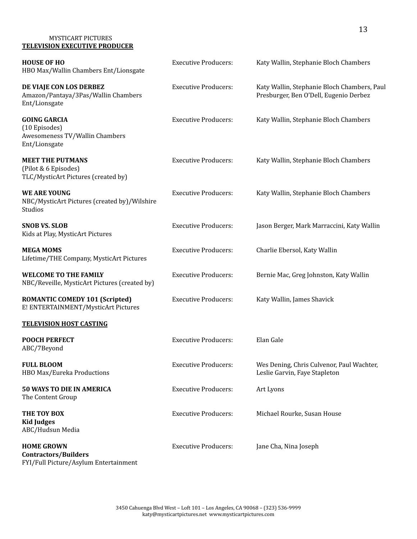#### MYSTICART PICTURES **TELEVISION EXECUTIVE PRODUCER**

| <b>HOUSE OF HO</b><br>HBO Max/Wallin Chambers Ent/Lionsgate                               | <b>Executive Producers:</b> | Katy Wallin, Stephanie Bloch Chambers                                                 |
|-------------------------------------------------------------------------------------------|-----------------------------|---------------------------------------------------------------------------------------|
| DE VIAJE CON LOS DERBEZ<br>Amazon/Pantaya/3Pas/Wallin Chambers<br>Ent/Lionsgate           | <b>Executive Producers:</b> | Katy Wallin, Stephanie Bloch Chambers, Paul<br>Presburger, Ben O'Dell, Eugenio Derbez |
| <b>GOING GARCIA</b><br>(10 Episodes)<br>Awesomeness TV/Wallin Chambers<br>Ent/Lionsgate   | <b>Executive Producers:</b> | Katy Wallin, Stephanie Bloch Chambers                                                 |
| <b>MEET THE PUTMANS</b><br>(Pilot & 6 Episodes)<br>TLC/MysticArt Pictures (created by)    | <b>Executive Producers:</b> | Katy Wallin, Stephanie Bloch Chambers                                                 |
| <b>WE ARE YOUNG</b><br>NBC/MysticArt Pictures (created by)/Wilshire<br>Studios            | <b>Executive Producers:</b> | Katy Wallin, Stephanie Bloch Chambers                                                 |
| <b>SNOB VS. SLOB</b><br>Kids at Play, MysticArt Pictures                                  | <b>Executive Producers:</b> | Jason Berger, Mark Marraccini, Katy Wallin                                            |
| <b>MEGA MOMS</b><br>Lifetime/THE Company, MysticArt Pictures                              | <b>Executive Producers:</b> | Charlie Ebersol, Katy Wallin                                                          |
| <b>WELCOME TO THE FAMILY</b><br>NBC/Reveille, MysticArt Pictures (created by)             | <b>Executive Producers:</b> | Bernie Mac, Greg Johnston, Katy Wallin                                                |
| <b>ROMANTIC COMEDY 101 (Scripted)</b><br>E! ENTERTAINMENT/MysticArt Pictures              | <b>Executive Producers:</b> | Katy Wallin, James Shavick                                                            |
| <b>TELEVISION HOST CASTING</b>                                                            |                             |                                                                                       |
| <b>POOCH PERFECT</b><br>ABC/7Beyond                                                       | <b>Executive Producers:</b> | Elan Gale                                                                             |
| <b>FULL BLOOM</b><br>HBO Max/Eureka Productions                                           | <b>Executive Producers:</b> | Wes Dening, Chris Culvenor, Paul Wachter,<br>Leslie Garvin, Faye Stapleton            |
| 50 WAYS TO DIE IN AMERICA<br>The Content Group                                            | <b>Executive Producers:</b> | Art Lyons                                                                             |
| THE TOY BOX<br><b>Kid Judges</b><br>ABC/Hudsun Media                                      | <b>Executive Producers:</b> | Michael Rourke, Susan House                                                           |
| <b>HOME GROWN</b><br><b>Contractors/Builders</b><br>FYI/Full Picture/Asylum Entertainment | <b>Executive Producers:</b> | Jane Cha, Nina Joseph                                                                 |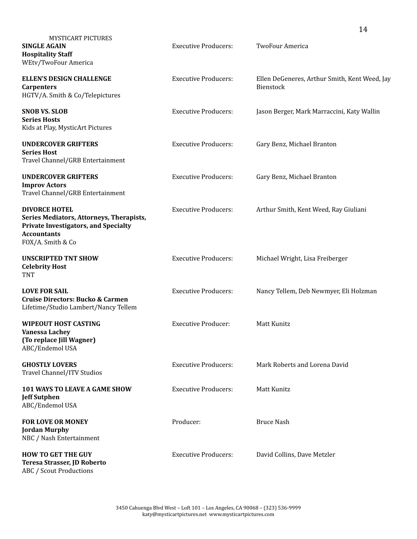|                                                                                                                                                            |                             | 14                                                         |
|------------------------------------------------------------------------------------------------------------------------------------------------------------|-----------------------------|------------------------------------------------------------|
| <b>MYSTICART PICTURES</b><br><b>SINGLE AGAIN</b><br><b>Hospitality Staff</b><br>WEtv/TwoFour America                                                       | <b>Executive Producers:</b> | <b>TwoFour America</b>                                     |
| <b>ELLEN'S DESIGN CHALLENGE</b><br><b>Carpenters</b><br>HGTV/A. Smith & Co/Telepictures                                                                    | <b>Executive Producers:</b> | Ellen DeGeneres, Arthur Smith, Kent Weed, Jay<br>Bienstock |
| <b>SNOB VS. SLOB</b><br><b>Series Hosts</b><br>Kids at Play, MysticArt Pictures                                                                            | <b>Executive Producers:</b> | Jason Berger, Mark Marraccini, Katy Wallin                 |
| <b>UNDERCOVER GRIFTERS</b><br><b>Series Host</b><br>Travel Channel/GRB Entertainment                                                                       | <b>Executive Producers:</b> | Gary Benz, Michael Branton                                 |
| <b>UNDERCOVER GRIFTERS</b><br><b>Improv Actors</b><br>Travel Channel/GRB Entertainment                                                                     | <b>Executive Producers:</b> | Gary Benz, Michael Branton                                 |
| <b>DIVORCE HOTEL</b><br>Series Mediators, Attorneys, Therapists,<br><b>Private Investigators, and Specialty</b><br><b>Accountants</b><br>FOX/A. Smith & Co | <b>Executive Producers:</b> | Arthur Smith, Kent Weed, Ray Giuliani                      |
| <b>UNSCRIPTED TNT SHOW</b><br><b>Celebrity Host</b><br><b>TNT</b>                                                                                          | <b>Executive Producers:</b> | Michael Wright, Lisa Freiberger                            |
| <b>LOVE FOR SAIL</b><br><b>Cruise Directors: Bucko &amp; Carmen</b><br>Lifetime/Studio Lambert/Nancy Tellem                                                | <b>Executive Producers:</b> | Nancy Tellem, Deb Newmyer, Eli Holzman                     |
| <b>WIPEOUT HOST CASTING</b><br>Vanessa Lachey<br>(To replace Jill Wagner)<br>ABC/Endemol USA                                                               | <b>Executive Producer:</b>  | <b>Matt Kunitz</b>                                         |
| <b>GHOSTLY LOVERS</b><br>Travel Channel/ITV Studios                                                                                                        | <b>Executive Producers:</b> | Mark Roberts and Lorena David                              |
| <b>101 WAYS TO LEAVE A GAME SHOW</b><br><b>Jeff Sutphen</b><br>ABC/Endemol USA                                                                             | <b>Executive Producers:</b> | Matt Kunitz                                                |
| <b>FOR LOVE OR MONEY</b><br><b>Jordan Murphy</b><br>NBC / Nash Entertainment                                                                               | Producer:                   | <b>Bruce Nash</b>                                          |
| <b>HOW TO GET THE GUY</b><br>Teresa Strasser, JD Roberto<br>ABC / Scout Productions                                                                        | <b>Executive Producers:</b> | David Collins, Dave Metzler                                |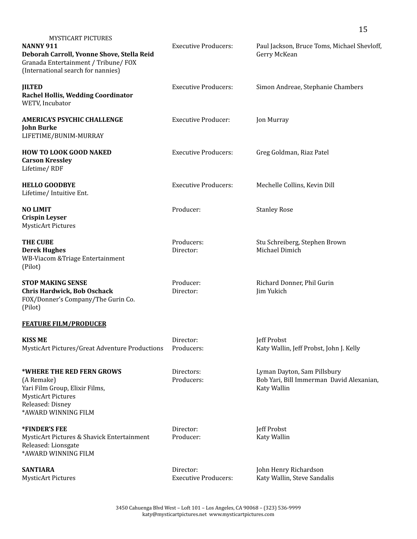|                                                                                                                                                                           |                                          | 15                                                                                     |
|---------------------------------------------------------------------------------------------------------------------------------------------------------------------------|------------------------------------------|----------------------------------------------------------------------------------------|
| <b>MYSTICART PICTURES</b><br><b>NANNY 911</b><br>Deborah Carroll, Yvonne Shove, Stella Reid<br>Granada Entertainment / Tribune/ FOX<br>(International search for nannies) | <b>Executive Producers:</b>              | Paul Jackson, Bruce Toms, Michael Shevloff,<br>Gerry McKean                            |
| <b>JILTED</b><br><b>Rachel Hollis, Wedding Coordinator</b><br>WETV, Incubator                                                                                             | <b>Executive Producers:</b>              | Simon Andreae, Stephanie Chambers                                                      |
| <b>AMERICA'S PSYCHIC CHALLENGE</b><br><b>John Burke</b><br>LIFETIME/BUNIM-MURRAY                                                                                          | <b>Executive Producer:</b>               | Jon Murray                                                                             |
| <b>HOW TO LOOK GOOD NAKED</b><br><b>Carson Kressley</b><br>Lifetime/RDF                                                                                                   | <b>Executive Producers:</b>              | Greg Goldman, Riaz Patel                                                               |
| <b>HELLO GOODBYE</b><br>Lifetime/ Intuitive Ent.                                                                                                                          | <b>Executive Producers:</b>              | Mechelle Collins, Kevin Dill                                                           |
| <b>NO LIMIT</b><br><b>Crispin Leyser</b><br><b>MysticArt Pictures</b>                                                                                                     | Producer:                                | <b>Stanley Rose</b>                                                                    |
| <b>THE CUBE</b><br><b>Derek Hughes</b><br>WB-Viacom & Triage Entertainment<br>(Pilot)                                                                                     | Producers:<br>Director:                  | Stu Schreiberg, Stephen Brown<br>Michael Dimich                                        |
| <b>STOP MAKING SENSE</b><br><b>Chris Hardwick, Bob Oschack</b><br>FOX/Donner's Company/The Gurin Co.<br>(Pilot)                                                           | Producer:<br>Director:                   | Richard Donner, Phil Gurin<br>Jim Yukich                                               |
| <b>FEATURE FILM/PRODUCER</b>                                                                                                                                              |                                          |                                                                                        |
| <b>KISS ME</b><br>MysticArt Pictures/Great Adventure Productions                                                                                                          | Director:<br>Producers:                  | Jeff Probst<br>Katy Wallin, Jeff Probst, John J. Kelly                                 |
| *WHERE THE RED FERN GROWS<br>(A Remake)<br>Yari Film Group, Elixir Films,<br><b>MysticArt Pictures</b><br>Released: Disney<br>*AWARD WINNING FILM                         | Directors:<br>Producers:                 | Lyman Dayton, Sam Pillsbury<br>Bob Yari, Bill Immerman David Alexanian,<br>Katy Wallin |
| *FINDER'S FEE<br>MysticArt Pictures & Shavick Entertainment<br>Released: Lionsgate<br>*AWARD WINNING FILM                                                                 | Director:<br>Producer:                   | Jeff Probst<br>Katy Wallin                                                             |
| <b>SANTIARA</b><br><b>MysticArt Pictures</b>                                                                                                                              | Director:<br><b>Executive Producers:</b> | John Henry Richardson<br>Katy Wallin, Steve Sandalis                                   |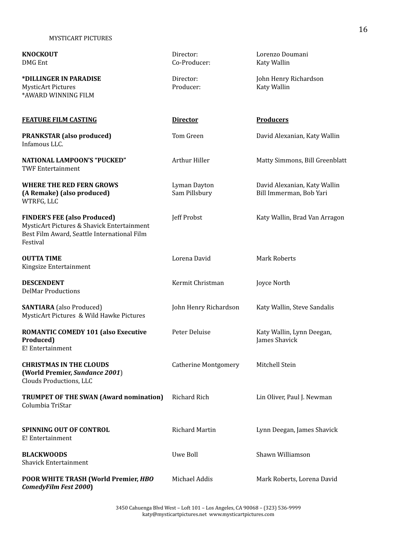| <b>KNOCKOUT</b><br><b>DMG</b> Ent                                                                                                            | Director:<br>Co-Producer:     | Lorenzo Doumani<br>Katy Wallin                          |
|----------------------------------------------------------------------------------------------------------------------------------------------|-------------------------------|---------------------------------------------------------|
| *DILLINGER IN PARADISE<br><b>MysticArt Pictures</b><br>*AWARD WINNING FILM                                                                   | Director:<br>Producer:        | John Henry Richardson<br>Katy Wallin                    |
| <b>FEATURE FILM CASTING</b>                                                                                                                  | <b>Director</b>               | <b>Producers</b>                                        |
| <b>PRANKSTAR (also produced)</b><br>Infamous LLC.                                                                                            | Tom Green                     | David Alexanian, Katy Wallin                            |
| <b>NATIONAL LAMPOON'S "PUCKED"</b><br><b>TWF Entertainment</b>                                                                               | Arthur Hiller                 | Matty Simmons, Bill Greenblatt                          |
| WHERE THE RED FERN GROWS<br>(A Remake) (also produced)<br>WTRFG, LLC                                                                         | Lyman Dayton<br>Sam Pillsbury | David Alexanian, Katy Wallin<br>Bill Immerman, Bob Yari |
| <b>FINDER'S FEE (also Produced)</b><br>MysticArt Pictures & Shavick Entertainment<br>Best Film Award, Seattle International Film<br>Festival | Jeff Probst                   | Katy Wallin, Brad Van Arragon                           |
| <b>OUTTA TIME</b><br>Kingsize Entertainment                                                                                                  | Lorena David                  | <b>Mark Roberts</b>                                     |
| <b>DESCENDENT</b><br><b>DelMar Productions</b>                                                                                               | Kermit Christman              | Joyce North                                             |
| <b>SANTIARA</b> (also Produced)<br>MysticArt Pictures & Wild Hawke Pictures                                                                  | John Henry Richardson         | Katy Wallin, Steve Sandalis                             |
| <b>ROMANTIC COMEDY 101 (also Executive</b><br>Produced)<br>E! Entertainment                                                                  | Peter Deluise                 | Katy Wallin, Lynn Deegan,<br>James Shavick              |
| <b>CHRISTMAS IN THE CLOUDS</b><br>(World Premier, Sundance 2001)<br>Clouds Productions, LLC                                                  | <b>Catherine Montgomery</b>   | Mitchell Stein                                          |
| <b>TRUMPET OF THE SWAN (Award nomination)</b><br>Columbia TriStar                                                                            | <b>Richard Rich</b>           | Lin Oliver, Paul J. Newman                              |
| <b>SPINNING OUT OF CONTROL</b><br>E! Entertainment                                                                                           | <b>Richard Martin</b>         | Lynn Deegan, James Shavick                              |
| <b>BLACKWOODS</b><br><b>Shavick Entertainment</b>                                                                                            | Uwe Boll                      | Shawn Williamson                                        |
| POOR WHITE TRASH (World Premier, HBO<br>ComedyFilm Fest 2000)                                                                                | Michael Addis                 | Mark Roberts, Lorena David                              |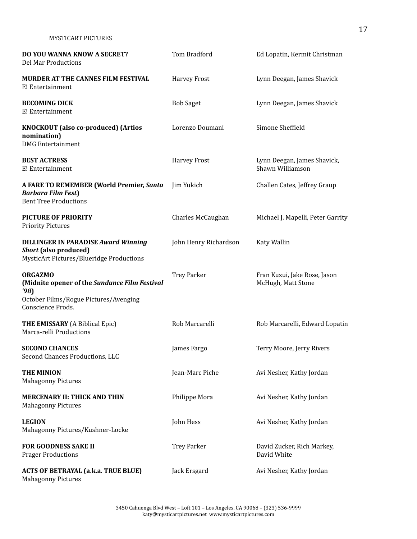| <b>DO YOU WANNA KNOW A SECRET?</b><br>Del Mar Productions                                                                            | Tom Bradford          | Ed Lopatin, Kermit Christman                       |
|--------------------------------------------------------------------------------------------------------------------------------------|-----------------------|----------------------------------------------------|
| <b>MURDER AT THE CANNES FILM FESTIVAL</b><br>E! Entertainment                                                                        | <b>Harvey Frost</b>   | Lynn Deegan, James Shavick                         |
| <b>BECOMING DICK</b><br>E! Entertainment                                                                                             | <b>Bob Saget</b>      | Lynn Deegan, James Shavick                         |
| <b>KNOCKOUT</b> (also co-produced) (Artios<br>nomination)<br><b>DMG</b> Entertainment                                                | Lorenzo Doumani       | Simone Sheffield                                   |
| <b>BEST ACTRESS</b><br>E! Entertainment                                                                                              | <b>Harvey Frost</b>   | Lynn Deegan, James Shavick,<br>Shawn Williamson    |
| A FARE TO REMEMBER (World Premier, Santa<br><b>Barbara Film Fest</b> )<br><b>Bent Tree Productions</b>                               | Jim Yukich            | Challen Cates, Jeffrey Graup                       |
| <b>PICTURE OF PRIORITY</b><br><b>Priority Pictures</b>                                                                               | Charles McCaughan     | Michael J. Mapelli, Peter Garrity                  |
| <b>DILLINGER IN PARADISE Award Winning</b><br>Short (also produced)<br><b>MysticArt Pictures/Blueridge Productions</b>               | John Henry Richardson | Katy Wallin                                        |
| <b>ORGAZMO</b><br>(Midnite opener of the Sundance Film Festival<br>'98<br>October Films/Rogue Pictures/Avenging<br>Conscience Prods. | <b>Trey Parker</b>    | Fran Kuzui, Jake Rose, Jason<br>McHugh, Matt Stone |
| <b>THE EMISSARY</b> (A Biblical Epic)<br>Marca-relli Productions                                                                     | Rob Marcarelli        | Rob Marcarelli, Edward Lopatin                     |
| <b>SECOND CHANCES</b><br>Second Chances Productions, LLC                                                                             | James Fargo           | Terry Moore, Jerry Rivers                          |
| <b>THE MINION</b><br><b>Mahagonny Pictures</b>                                                                                       | Jean-Marc Piche       | Avi Nesher, Kathy Jordan                           |
| <b>MERCENARY II: THICK AND THIN</b><br><b>Mahagonny Pictures</b>                                                                     | Philippe Mora         | Avi Nesher, Kathy Jordan                           |
| <b>LEGION</b><br>Mahagonny Pictures/Kushner-Locke                                                                                    | John Hess             | Avi Nesher, Kathy Jordan                           |
| <b>FOR GOODNESS SAKE II</b><br><b>Prager Productions</b>                                                                             | <b>Trey Parker</b>    | David Zucker, Rich Markey,<br>David White          |
| <b>ACTS OF BETRAYAL (a.k.a. TRUE BLUE)</b><br><b>Mahagonny Pictures</b>                                                              | Jack Ersgard          | Avi Nesher, Kathy Jordan                           |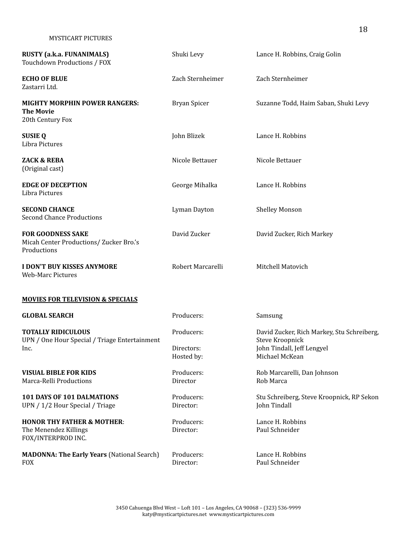| <b>RUSTY (a.k.a. FUNANIMALS)</b><br>Touchdown Productions / FOX                      | Shuki Levy                             | Lance H. Robbins, Craig Golin                                                                                 |
|--------------------------------------------------------------------------------------|----------------------------------------|---------------------------------------------------------------------------------------------------------------|
| <b>ECHO OF BLUE</b><br>Zastarri Ltd.                                                 | Zach Sternheimer                       | Zach Sternheimer                                                                                              |
| <b>MIGHTY MORPHIN POWER RANGERS:</b><br><b>The Movie</b><br>20th Century Fox         | <b>Bryan Spicer</b>                    | Suzanne Todd, Haim Saban, Shuki Levy                                                                          |
| <b>SUSIE Q</b><br>Libra Pictures                                                     | John Blizek                            | Lance H. Robbins                                                                                              |
| <b>ZACK &amp; REBA</b><br>(Original cast)                                            | Nicole Bettauer                        | Nicole Bettauer                                                                                               |
| <b>EDGE OF DECEPTION</b><br>Libra Pictures                                           | George Mihalka                         | Lance H. Robbins                                                                                              |
| <b>SECOND CHANCE</b><br><b>Second Chance Productions</b>                             | Lyman Dayton                           | <b>Shelley Monson</b>                                                                                         |
| <b>FOR GOODNESS SAKE</b><br>Micah Center Productions/ Zucker Bro.'s<br>Productions   | David Zucker                           | David Zucker, Rich Markey                                                                                     |
| <b>I DON'T BUY KISSES ANYMORE</b><br><b>Web-Marc Pictures</b>                        | Robert Marcarelli                      | Mitchell Matovich                                                                                             |
| <b>MOVIES FOR TELEVISION &amp; SPECIALS</b>                                          |                                        |                                                                                                               |
| <b>GLOBAL SEARCH</b>                                                                 | Producers:                             | Samsung                                                                                                       |
| <b>TOTALLY RIDICULOUS</b><br>UPN / One Hour Special / Triage Entertainment<br>lnc.   | Producers:<br>Directors:<br>Hosted by: | David Zucker, Rich Markey, Stu Schreiberg,<br>Steve Kroopnick<br>John Tindall, Jeff Lengyel<br>Michael McKean |
| <b>VISUAL BIBLE FOR KIDS</b><br>Marca-Relli Productions                              | Producers:<br>Director                 | Rob Marcarelli, Dan Johnson<br>Rob Marca                                                                      |
| 101 DAYS OF 101 DALMATIONS<br>UPN / 1/2 Hour Special / Triage                        | Producers:<br>Director:                | Stu Schreiberg, Steve Kroopnick, RP Sekon<br>John Tindall                                                     |
| <b>HONOR THY FATHER &amp; MOTHER:</b><br>The Menendez Killings<br>FOX/INTERPROD INC. | Producers:<br>Director:                | Lance H. Robbins<br>Paul Schneider                                                                            |
| <b>MADONNA: The Early Years (National Search)</b><br><b>FOX</b>                      | Producers:<br>Director:                | Lance H. Robbins<br>Paul Schneider                                                                            |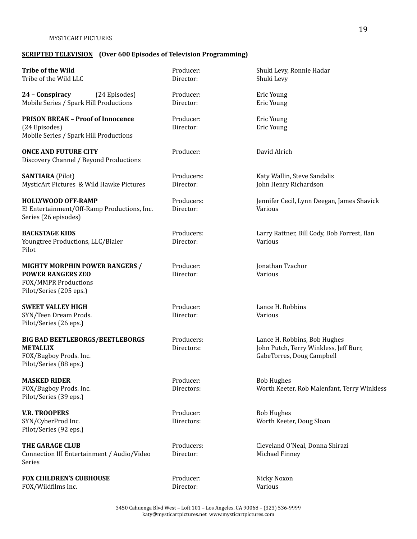# **SCRIPTED TELEVISION (Over 600 Episodes of Television Programming)**

| <b>Tribe of the Wild</b><br>Tribe of the Wild LLC                                                                    | Producer:<br>Director:   | Shuki Levy, Ronnie Hadar<br>Shuki Levy                                                              |
|----------------------------------------------------------------------------------------------------------------------|--------------------------|-----------------------------------------------------------------------------------------------------|
| 24 - Conspiracy<br>(24 Episodes)<br>Mobile Series / Spark Hill Productions                                           | Producer:<br>Director:   | Eric Young<br>Eric Young                                                                            |
| <b>PRISON BREAK - Proof of Innocence</b><br>(24 Episodes)<br>Mobile Series / Spark Hill Productions                  | Producer:<br>Director:   | Eric Young<br>Eric Young                                                                            |
| <b>ONCE AND FUTURE CITY</b><br>Discovery Channel / Beyond Productions                                                | Producer:                | David Alrich                                                                                        |
| <b>SANTIARA</b> (Pilot)<br>MysticArt Pictures & Wild Hawke Pictures                                                  | Producers:<br>Director:  | Katy Wallin, Steve Sandalis<br>John Henry Richardson                                                |
| <b>HOLLYWOOD OFF-RAMP</b><br>E! Entertainment/Off-Ramp Productions, Inc.<br>Series (26 episodes)                     | Producers:<br>Director:  | Jennifer Cecil, Lynn Deegan, James Shavick<br>Various                                               |
| <b>BACKSTAGE KIDS</b><br>Youngtree Productions, LLC/Bialer<br>Pilot                                                  | Producers:<br>Director:  | Larry Rattner, Bill Cody, Bob Forrest, Ilan<br>Various                                              |
| <b>MIGHTY MORPHIN POWER RANGERS /</b><br><b>POWER RANGERS ZEO</b><br>FOX/MMPR Productions<br>Pilot/Series (205 eps.) | Producer:<br>Director:   | Jonathan Tzachor<br>Various                                                                         |
| <b>SWEET VALLEY HIGH</b><br>SYN/Teen Dream Prods.<br>Pilot/Series (26 eps.)                                          | Producer:<br>Director:   | Lance H. Robbins<br>Various                                                                         |
| <b>BIG BAD BEETLEBORGS/BEETLEBORGS</b><br><b>METALLIX</b><br>FOX/Bugboy Prods. Inc.<br>Pilot/Series (88 eps.)        | Producers:<br>Directors: | Lance H. Robbins, Bob Hughes<br>John Putch, Terry Winkless, Jeff Burr,<br>GabeTorres, Doug Campbell |
| <b>MASKED RIDER</b><br>FOX/Bugboy Prods. Inc.<br>Pilot/Series (39 eps.)                                              | Producer:<br>Directors:  | <b>Bob Hughes</b><br>Worth Keeter, Rob Malenfant, Terry Winkless                                    |
| <b>V.R. TROOPERS</b><br>SYN/CyberProd Inc.<br>Pilot/Series (92 eps.)                                                 | Producer:<br>Directors:  | <b>Bob Hughes</b><br>Worth Keeter, Doug Sloan                                                       |
| <b>THE GARAGE CLUB</b><br>Connection III Entertainment / Audio/Video<br>Series                                       | Producers:<br>Director:  | Cleveland O'Neal, Donna Shirazi<br>Michael Finney                                                   |
| <b>FOX CHILDREN'S CUBHOUSE</b><br>FOX/Wildfilms Inc.                                                                 | Producer:<br>Director:   | Nicky Noxon<br>Various                                                                              |